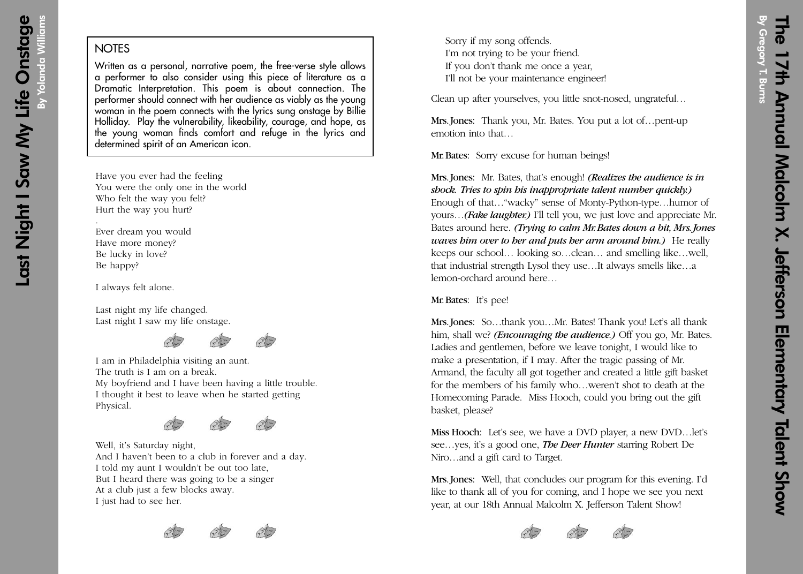## **NOTES**

Written as a personal, narrative poem, the free-verse style allows a performer to also consider using this piece of literature as a Dramatic Interpretation. This poem is about connection. The performer should connect with her audience as viably as the young woman in the poem connects with the lyrics sung onstage by Billie Holliday. Play the vulnerability, likeability, courage, and hope, as the young woman finds comfort and refuge in the lyrics and determined spirit of an American icon.

Have you ever had the feeling You were the only one in the world Who felt the way you felt? Hurt the way you hurt?

Ever dream you would Have more money? Be lucky in love? Be happy?

I always felt alone.

.

Last night my life changed. Last night I saw my life onstage.



I am in Philadelphia visiting an aunt. The truth is I am on a break. My boyfriend and I have been having a little trouble. I thought it best to leave when he started getting Physical.



Well, it's Saturday night, And I haven't been to a club in forever and a day. I told my aunt I wouldn't be out too late, But I heard there was going to be a singer At a club just a few blocks away. I just had to see her.